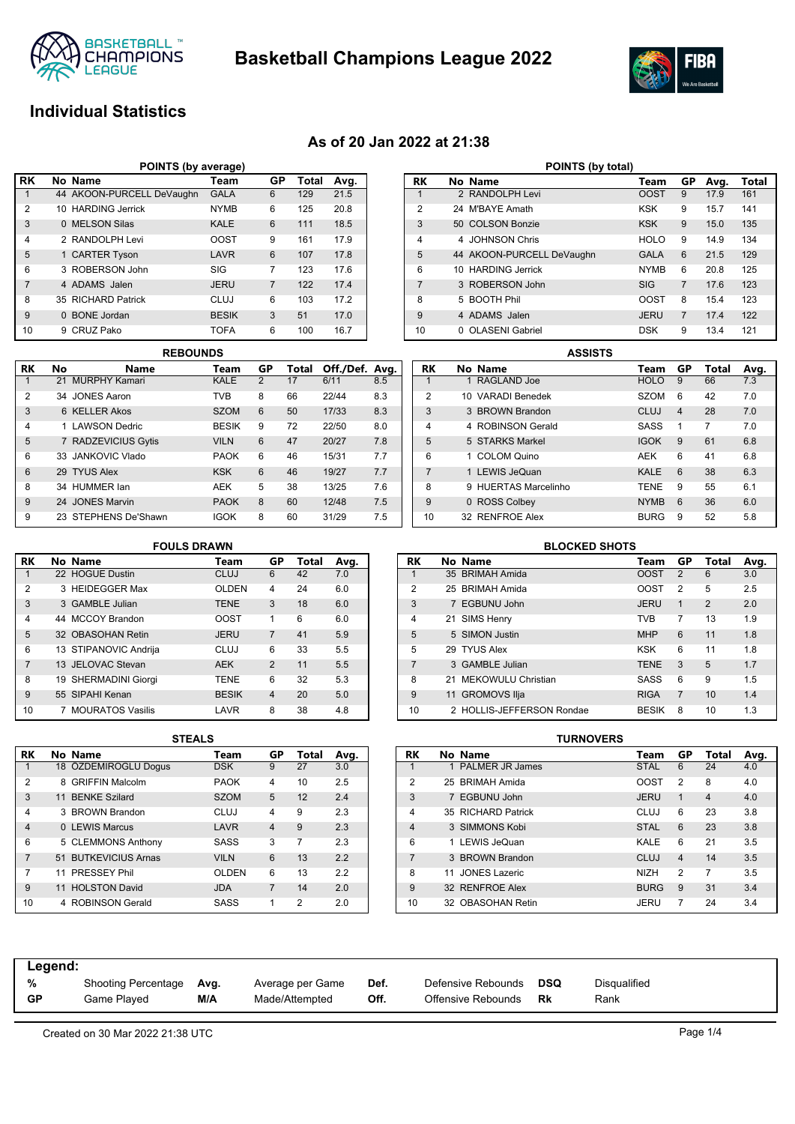

**Basketball Champions League 2022**



## **Individual Statistics**

## **As of 20 Jan 2022 at 21:38**

| POINTS (by average) |                                        |                           |              |                |     |      |  |  |  |  |  |  |  |
|---------------------|----------------------------------------|---------------------------|--------------|----------------|-----|------|--|--|--|--|--|--|--|
| l RK                | No Name<br>GP<br>Total<br>Avg.<br>Team |                           |              |                |     |      |  |  |  |  |  |  |  |
|                     |                                        | 44 AKOON-PURCELL DeVaughn | <b>GALA</b>  | 6              | 129 | 21.5 |  |  |  |  |  |  |  |
| $\overline{2}$      |                                        | 10 HARDING Jerrick        | <b>NYMB</b>  | 6              | 125 | 20.8 |  |  |  |  |  |  |  |
| 3                   |                                        | 0 MELSON Silas            | <b>KALE</b>  | 6              | 111 | 18.5 |  |  |  |  |  |  |  |
| $\overline{4}$      |                                        | 2 RANDOLPH Levi           | OOST         | 9              | 161 | 17.9 |  |  |  |  |  |  |  |
| 5                   |                                        | 1 CARTER Tyson            | LAVR         | 6              | 107 | 17.8 |  |  |  |  |  |  |  |
| 6                   |                                        | 3 ROBERSON John           | SIG          | 7              | 123 | 17.6 |  |  |  |  |  |  |  |
| $\overline{7}$      |                                        | 4 ADAMS Jalen             | <b>JERU</b>  | $\overline{7}$ | 122 | 17.4 |  |  |  |  |  |  |  |
| 8                   |                                        | 35 RICHARD Patrick        | CLUJ         | 6              | 103 | 17.2 |  |  |  |  |  |  |  |
| 9                   |                                        | 0 BONE Jordan             | <b>BESIK</b> | 3              | 51  | 17.0 |  |  |  |  |  |  |  |
| 10                  |                                        | 9 CRUZ Pako               | <b>TOFA</b>  | 6              | 100 | 16.7 |  |  |  |  |  |  |  |

|    | <b>REBOUNDS</b> |                      |              |    |       |                |     |  |  |  |  |  |
|----|-----------------|----------------------|--------------|----|-------|----------------|-----|--|--|--|--|--|
| RK | No              | Name                 | Team         | GP | Total | Off./Def. Avg. |     |  |  |  |  |  |
| 1  |                 | 21 MURPHY Kamari     | KALE         | 2  | 17    | 6/11           | 8.5 |  |  |  |  |  |
| 2  | 34              | JONES Aaron          | <b>TVB</b>   | 8  | 66    | 22/44          | 8.3 |  |  |  |  |  |
| 3  |                 | 6 KELLER Akos        | <b>SZOM</b>  | 6  | 50    | 17/33          | 8.3 |  |  |  |  |  |
| 4  |                 | 1 LAWSON Dedric      | <b>BESIK</b> | 9  | 72    | 22/50          | 8.0 |  |  |  |  |  |
| 5  |                 | 7 RADZEVICIUS Gytis  | <b>VILN</b>  | 6  | 47    | 20/27          | 7.8 |  |  |  |  |  |
| 6  |                 | 33 JANKOVIC Vlado    | <b>PAOK</b>  | 6  | 46    | 15/31          | 7.7 |  |  |  |  |  |
| 6  |                 | 29 TYUS Alex         | <b>KSK</b>   | 6  | 46    | 19/27          | 7.7 |  |  |  |  |  |
| 8  |                 | 34 HUMMER lan        | <b>AEK</b>   | 5  | 38    | 13/25          | 7.6 |  |  |  |  |  |
| 9  |                 | 24 JONES Marvin      | <b>PAOK</b>  | 8  | 60    | 12/48          | 7.5 |  |  |  |  |  |
| 9  |                 | 23 STEPHENS De'Shawn | <b>IGOK</b>  | 8  | 60    | 31/29          | 7.5 |  |  |  |  |  |

| RK             |   | No Name                   | Team        | GP             | Avg. | Total |
|----------------|---|---------------------------|-------------|----------------|------|-------|
| 1              |   | 2 RANDOLPH Levi           | OOST        | 9              | 17.9 | 161   |
| $\overline{2}$ |   | 24 M'BAYF Amath           | <b>KSK</b>  | 9              | 15.7 | 141   |
| 3              |   | 50 COLSON Bonzie          | <b>KSK</b>  | 9              | 15.0 | 135   |
| 4              |   | 4 JOHNSON Chris           | <b>HOLO</b> | 9              | 14.9 | 134   |
| 5              |   | 44 AKOON-PURCELL DeVaughn | <b>GALA</b> | 6              | 21.5 | 129   |
| 6              |   | 10 HARDING Jerrick        | <b>NYMB</b> | 6              | 20.8 | 125   |
| $\overline{7}$ |   | 3 ROBERSON John           | <b>SIG</b>  | $\overline{7}$ | 17.6 | 123   |
| 8              |   | 5 BOOTH Phil              | OOST        | 8              | 15.4 | 123   |
| 9              |   | 4 ADAMS Jalen             | <b>JERU</b> | $\overline{7}$ | 17.4 | 122   |
| 10             | 0 | <b>OLASENI Gabriel</b>    | <b>DSK</b>  | 9              | 13.4 | 121   |

**POINTS (by total)** 

| <b>ASSISTS</b> |   |                           |             |                |       |      |  |  |  |  |  |  |
|----------------|---|---------------------------|-------------|----------------|-------|------|--|--|--|--|--|--|
| RK             |   | No Name                   | Team        | GP             | Total | Avg. |  |  |  |  |  |  |
| 1              |   | 1 RAGLAND Joe             | <b>HOLO</b> | 9              | 66    | 7.3  |  |  |  |  |  |  |
| 2              |   | 10 VARADI Benedek         | SZOM        | 6              | 42    | 7.0  |  |  |  |  |  |  |
| 3              |   | 3 BROWN Brandon           | CLUJ        | $\overline{4}$ | 28    | 7.0  |  |  |  |  |  |  |
| 4              |   | 4 ROBINSON Gerald         | <b>SASS</b> | 1              | 7     | 7.0  |  |  |  |  |  |  |
| 5              |   | 5 STARKS Markel           | <b>IGOK</b> | 9              | 61    | 6.8  |  |  |  |  |  |  |
| 6              |   | 1 COLOM Quino             | <b>AEK</b>  | 6              | 41    | 6.8  |  |  |  |  |  |  |
| $\overline{7}$ |   | 1 LEWIS JeQuan            | <b>KALE</b> | 6              | 38    | 6.3  |  |  |  |  |  |  |
| 8              | 9 | <b>HUFRTAS Marcelinho</b> | <b>TENE</b> | 9              | 55    | 6.1  |  |  |  |  |  |  |
| 9              |   | 0 ROSS Colbey             | <b>NYMB</b> | 6              | 36    | 6.0  |  |  |  |  |  |  |
| 10             |   | 32 RENEROF Alex           | <b>BURG</b> | 9              | 52    | 5.8  |  |  |  |  |  |  |

### **FOULS DRAWN**

| RK             | No Name                 | Team         | GP             | Total | Avg. |
|----------------|-------------------------|--------------|----------------|-------|------|
| 1              | 22 HOGUE Dustin         | <b>CLUJ</b>  | 6              | 42    | 7.0  |
| 2              | 3 HEIDEGGER Max         | <b>OLDEN</b> | 4              | 24    | 6.0  |
| 3              | 3 GAMBLE Julian         | <b>TENE</b>  | 3              | 18    | 6.0  |
| $\overline{4}$ | 44 MCCOY Brandon        | <b>OOST</b>  | 1              | 6     | 6.0  |
| 5              | 32 OBASOHAN Retin       | <b>JERU</b>  | $\overline{7}$ | 41    | 5.9  |
| 6              | 13 STIPANOVIC Andrija   | CLUJ         | 6              | 33    | 5.5  |
| $\overline{7}$ | 13 JELOVAC Stevan       | <b>AEK</b>   | 2              | 11    | 5.5  |
| 8              | 19 SHERMADINI Giorgi    | <b>TENE</b>  | 6              | 32    | 5.3  |
| 9              | 55 SIPAHI Kenan         | <b>BESIK</b> | $\overline{4}$ | 20    | 5.0  |
| 10             | <b>MOURATOS Vasilis</b> | LAVR         | 8              | 38    | 4.8  |

| <b>BLOCKED SHOTS</b>                         |  |                           |              |                |                |     |  |  |  |  |  |
|----------------------------------------------|--|---------------------------|--------------|----------------|----------------|-----|--|--|--|--|--|
| RK<br>GP<br>No Name<br>Total<br>Avg.<br>Team |  |                           |              |                |                |     |  |  |  |  |  |
| 1                                            |  | 35 BRIMAH Amida           | <b>OOST</b>  | 2              | 6              | 3.0 |  |  |  |  |  |
| 2                                            |  | 25 BRIMAH Amida           | <b>OOST</b>  | $\overline{2}$ | 5              | 2.5 |  |  |  |  |  |
| 3                                            |  | 7 EGBUNU John             | <b>JERU</b>  | $\mathbf{1}$   | $\mathfrak{p}$ | 2.0 |  |  |  |  |  |
| 4                                            |  | 21 SIMS Henry             | TVR.         | 7              | 13             | 1.9 |  |  |  |  |  |
| 5                                            |  | 5 SIMON Justin            | <b>MHP</b>   | 6              | 11             | 1.8 |  |  |  |  |  |
| 5                                            |  | 29 TYUS Alex              | <b>KSK</b>   | 6              | 11             | 1.8 |  |  |  |  |  |
| $\overline{7}$                               |  | 3 GAMBLE Julian           | <b>TENE</b>  | 3              | 5              | 1.7 |  |  |  |  |  |
| 8                                            |  | 21 MEKOWULU Christian     | SASS         | 6              | 9              | 1.5 |  |  |  |  |  |
| 9                                            |  | 11 GROMOVS Ilja           | <b>RIGA</b>  | $\overline{7}$ | 10             | 1.4 |  |  |  |  |  |
| 10                                           |  | 2 HOLLIS-JEFFERSON Rondae | <b>BESIK</b> | 8              | 10             | 1.3 |  |  |  |  |  |

|                | SIEALS |                        |              |                |       |      |  |  |  |  |  |  |
|----------------|--------|------------------------|--------------|----------------|-------|------|--|--|--|--|--|--|
| RK             |        | No Name                | Team         | GP             | Total | Avg. |  |  |  |  |  |  |
| 1              |        | 18 ÖZDEMIROGLU Dogus   | <b>DSK</b>   | 9              | 27    | 3.0  |  |  |  |  |  |  |
| $\overline{2}$ | 8      | <b>GRIFFIN Malcolm</b> | <b>PAOK</b>  | 4              | 10    | 2.5  |  |  |  |  |  |  |
| 3              |        | 11 BENKE Szilard       | <b>SZOM</b>  | 5              | 12    | 2.4  |  |  |  |  |  |  |
| 4              |        | 3 BROWN Brandon        | CLUJ         | 4              | 9     | 2.3  |  |  |  |  |  |  |
| $\overline{4}$ |        | 0 LEWIS Marcus         | LAVR         | $\overline{4}$ | 9     | 2.3  |  |  |  |  |  |  |
| 6              |        | 5 CLEMMONS Anthony     | <b>SASS</b>  | 3              | 7     | 2.3  |  |  |  |  |  |  |
| $\overline{7}$ |        | 51 BUTKEVICIUS Arnas   | <b>VILN</b>  | 6              | 13    | 2.2  |  |  |  |  |  |  |
| 7              |        | 11 PRESSEY Phil        | <b>OLDEN</b> | 6              | 13    | 2.2  |  |  |  |  |  |  |
| 9              |        | 11 HOLSTON David       | <b>JDA</b>   | 7              | 14    | 2.0  |  |  |  |  |  |  |
| 10             |        | 4 ROBINSON Gerald      | SASS         | 1              | 2     | 2.0  |  |  |  |  |  |  |

| <b>STEALS</b> |              |                |       |      |           |     |                     | <b>TURNOVERS</b> |             |                |       |      |
|---------------|--------------|----------------|-------|------|-----------|-----|---------------------|------------------|-------------|----------------|-------|------|
|               | Team         | GР             | Total | Avg. | <b>RK</b> |     | No Name             |                  | Team        | GP             | Total | Avg. |
|               | <b>DSK</b>   | 9              | 27    | 3.0  |           |     | PALMER JR James     |                  | <b>STAL</b> | 6              | 24    | 4.0  |
|               | <b>PAOK</b>  | 4              | 10    | 2.5  | 2         | 25. | <b>BRIMAH Amida</b> |                  | <b>OOST</b> | 2              | 8     | 4.0  |
|               | <b>SZOM</b>  | 5              | 12    | 2.4  | 3         |     | 7 EGBUNU John       |                  | <b>JERU</b> | 1              | 4     | 4.0  |
|               | <b>CLUJ</b>  | 4              | 9     | 2.3  | 4         |     | 35 RICHARD Patrick  |                  | CLUJ        | 6              | 23    |      |
|               | LAVR         | $\overline{4}$ | 9     | 2.3  | 4         |     | 3 SIMMONS Kobi      |                  | <b>STAL</b> | 6              | 23    |      |
|               | <b>SASS</b>  | 3              |       | 2.3  | 6         |     | 1 LEWIS JeQuan      |                  | <b>KALE</b> | 6              | 21    |      |
|               | <b>VILN</b>  | 6              | 13    | 2.2  |           |     | 3 BROWN Brandon     |                  | <b>CLUJ</b> | $\overline{4}$ | 14    |      |
|               | <b>OLDEN</b> | 6              | 13    | 2.2  | 8         | 11  | JONES Lazeric       |                  | <b>NIZH</b> | 2              | 7     |      |
|               | <b>JDA</b>   | 7              | 14    | 2.0  | 9         |     | 32 RENFROE Alex     |                  | <b>BURG</b> | 9              | 31    |      |
|               | <b>SASS</b>  |                | 2     | 2.0  | 10        | 32  | OBASOHAN Retin      |                  | <b>JERU</b> |                | 24    |      |
|               |              |                |       |      |           |     |                     |                  |             |                |       |      |

| Legend:   |                     |      |                  |      |                    |            |              |
|-----------|---------------------|------|------------------|------|--------------------|------------|--------------|
| %         | Shooting Percentage | Avg. | Average per Game | Def. | Defensive Rebounds | <b>DSQ</b> | Disqualified |
| <b>GP</b> | Game Plaved         | M/A  | Made/Attempted   | Off. | Offensive Rebounds | Rk         | Rank         |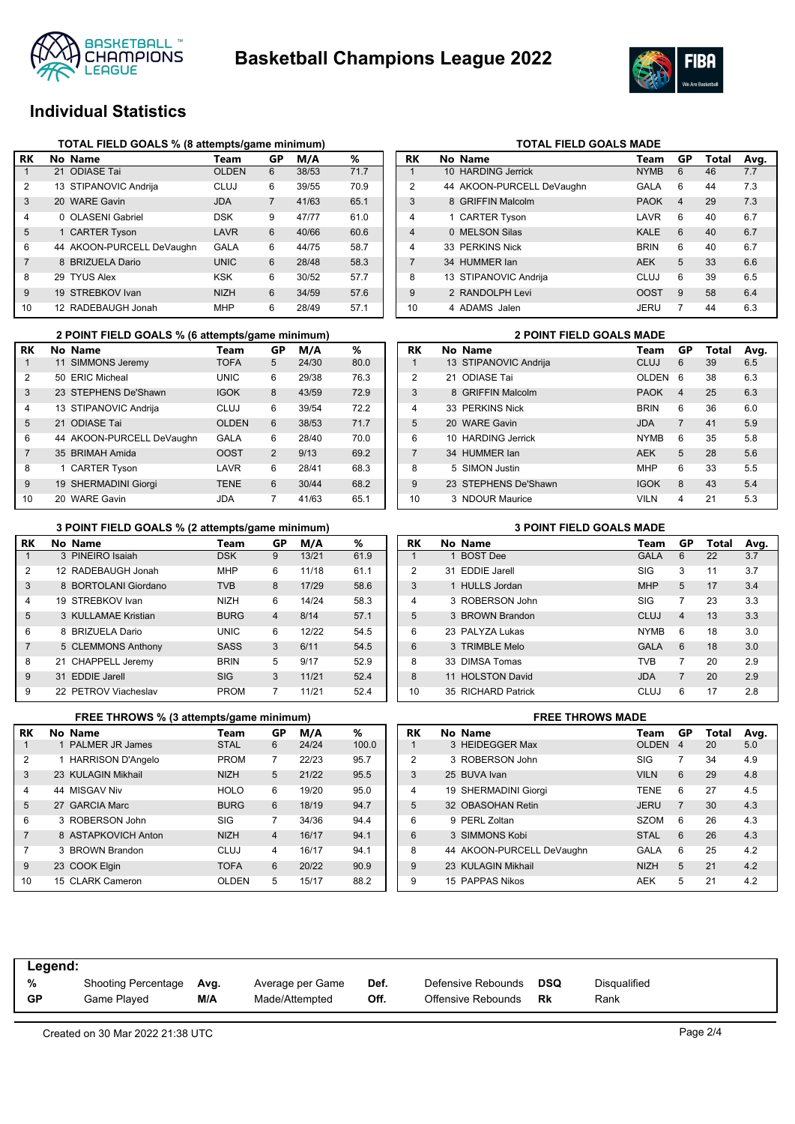



## **Individual Statistics**

|                | TOTAL FIELD GOALS % (8 attempts/game minimum) |                           |              |                |       |      |  |  |  |  |  |  |
|----------------|-----------------------------------------------|---------------------------|--------------|----------------|-------|------|--|--|--|--|--|--|
| RK             |                                               | No Name                   | Team         | GP             | M/A   | %    |  |  |  |  |  |  |
| 1              |                                               | 21 ODIASE Tai             | <b>OLDEN</b> | 6              | 38/53 | 71.7 |  |  |  |  |  |  |
| $\overline{2}$ |                                               | 13 STIPANOVIC Andrija     | CLUJ         | 6              | 39/55 | 70.9 |  |  |  |  |  |  |
| 3              |                                               | 20 WARE Gavin             | <b>JDA</b>   | $\overline{7}$ | 41/63 | 65.1 |  |  |  |  |  |  |
| 4              | 0                                             | <b>OLASENI Gabriel</b>    | <b>DSK</b>   | 9              | 47/77 | 61.0 |  |  |  |  |  |  |
| 5              |                                               | 1 CARTER Tyson            | LAVR         | 6              | 40/66 | 60.6 |  |  |  |  |  |  |
| 6              |                                               | 44 AKOON-PURCELL DeVaughn | GALA         | 6              | 44/75 | 58.7 |  |  |  |  |  |  |
| 7              |                                               | 8 BRIZUELA Dario          | <b>UNIC</b>  | 6              | 28/48 | 58.3 |  |  |  |  |  |  |
| 8              |                                               | 29 TYUS Alex              | KSK          | 6              | 30/52 | 57.7 |  |  |  |  |  |  |
| 9              |                                               | 19 STREBKOV Ivan          | <b>NIZH</b>  | 6              | 34/59 | 57.6 |  |  |  |  |  |  |
| 10             |                                               | 12 RADEBAUGH Jonah        | <b>MHP</b>   | 6              | 28/49 | 57.1 |  |  |  |  |  |  |

|                | 2 POINT FIELD GOALS % (6 attempts/game minimum) |              |    | <b>2 POINT FIELD GOALS MADE</b> |      |  |                |  |                       |             |
|----------------|-------------------------------------------------|--------------|----|---------------------------------|------|--|----------------|--|-----------------------|-------------|
| RK             | No Name                                         | Team         | GР | M/A                             | %    |  | RK             |  | No Name               | Team        |
|                | 11 SIMMONS Jeremy                               | <b>TOFA</b>  | 5  | 24/30                           | 80.0 |  |                |  | 13 STIPANOVIC Andrija | <b>CLUJ</b> |
| 2              | 50 ERIC Micheal                                 | <b>UNIC</b>  | 6  | 29/38                           | 76.3 |  | $\overline{2}$ |  | 21 ODIASE Tai         | <b>OLDE</b> |
| 3              | 23 STEPHENS De'Shawn                            | <b>IGOK</b>  | 8  | 43/59                           | 72.9 |  | 3              |  | 8 GRIFFIN Malcolm     | <b>PAOK</b> |
| 4              | 13 STIPANOVIC Andrija                           | <b>CLUJ</b>  | 6  | 39/54                           | 72.2 |  | 4              |  | 33 PERKINS Nick       | <b>BRIN</b> |
| 5              | 21 ODIASE Tai                                   | <b>OLDEN</b> | 6  | 38/53                           | 71.7 |  | 5              |  | 20 WARE Gavin         | <b>JDA</b>  |
| 6              | 44 AKOON-PURCELL DeVaughn                       | <b>GALA</b>  | 6  | 28/40                           | 70.0 |  | 6              |  | 10 HARDING Jerrick    | <b>NYMB</b> |
| $\overline{7}$ | 35 BRIMAH Amida                                 | <b>OOST</b>  | 2  | 9/13                            | 69.2 |  |                |  | 34 HUMMER lan         | <b>AEK</b>  |
| 8              | 1 CARTER Tyson                                  | LAVR         | 6  | 28/41                           | 68.3 |  | 8              |  | 5 SIMON Justin        | <b>MHP</b>  |
| 9              | 19 SHERMADINI Giorgi                            | <b>TENE</b>  | 6  | 30/44                           | 68.2 |  | 9              |  | 23 STEPHENS De'Shawn  | <b>IGOK</b> |
| 10             | 20 WARE Gavin                                   | <b>JDA</b>   | 7  | 41/63                           | 65.1 |  | 10             |  | 3 NDOUR Maurice       | <b>VILN</b> |

### **TOTAL FIELD GOALS MADE**

| RK             | No Name                   | Team        | GP             | Total | Avg. |
|----------------|---------------------------|-------------|----------------|-------|------|
| $\mathbf 1$    | 10 HARDING Jerrick        | <b>NYMB</b> | 6              | 46    | 7.7  |
| $\overline{2}$ | 44 AKOON-PURCELL DeVaughn | GALA        | 6              | 44    | 7.3  |
| 3              | 8 GRIFFIN Malcolm         | <b>PAOK</b> | $\overline{4}$ | 29    | 7.3  |
| 4              | 1 CARTER Tyson            | LAVR        | 6              | 40    | 6.7  |
| $\overline{4}$ | 0 MELSON Silas            | <b>KALE</b> | 6              | 40    | 6.7  |
| 4              | 33 PERKINS Nick           | <b>BRIN</b> | 6              | 40    | 6.7  |
| $\overline{7}$ | 34 HUMMER lan             | <b>AEK</b>  | 5              | 33    | 6.6  |
| 8              | 13 STIPANOVIC Andrija     | <b>CLUJ</b> | 6              | 39    | 6.5  |
| 9              | 2 RANDOLPH Levi           | <b>OOST</b> | 9              | 58    | 6.4  |
| 10             | 4 ADAMS Jalen             | <b>JERU</b> | 7              | 44    | 6.3  |

|                | 2 POINT FIELD GOALS MADE |                       |              |    |       |      |  |  |  |  |
|----------------|--------------------------|-----------------------|--------------|----|-------|------|--|--|--|--|
| RK             |                          | No Name               | Team         | GP | Total | Avg. |  |  |  |  |
| 1              |                          | 13 STIPANOVIC Andrija | <b>CLUJ</b>  | 6  | 39    | 6.5  |  |  |  |  |
| $\mathfrak{p}$ | 21                       | <b>ODIASE Tai</b>     | <b>OLDEN</b> | 6  | 38    | 6.3  |  |  |  |  |
| 3              |                          | 8 GRIFFIN Malcolm     | <b>PAOK</b>  | 4  | 25    | 6.3  |  |  |  |  |
| $\overline{4}$ |                          | 33 PERKINS Nick       | <b>BRIN</b>  | 6  | 36    | 6.0  |  |  |  |  |
| 5              |                          | 20 WARE Gavin         | <b>JDA</b>   | 7  | 41    | 5.9  |  |  |  |  |
| 6              |                          | 10 HARDING Jerrick    | <b>NYMB</b>  | 6  | 35    | 5.8  |  |  |  |  |
| $\overline{7}$ |                          | 34 HUMMER lan         | <b>AEK</b>   | 5  | 28    | 5.6  |  |  |  |  |
| 8              | 5.                       | <b>SIMON Justin</b>   | <b>MHP</b>   | 6  | 33    | 5.5  |  |  |  |  |
| 9              |                          | 23 STEPHENS De'Shawn  | <b>IGOK</b>  | 8  | 43    | 5.4  |  |  |  |  |
| 10             |                          | 3 NDOUR Maurice       | <b>VILN</b>  | 4  | 21    | 5.3  |  |  |  |  |

#### **3 POINT FIELD GOALS % (2 attempts/game minimum) 3 POINT FIELD GOALS MADE**

| <b>RK</b>      | No Name              | Team        | GP             | M/A   | ℅    |
|----------------|----------------------|-------------|----------------|-------|------|
|                | 3 PINEIRO Isaiah     | <b>DSK</b>  | 9              | 13/21 | 61.9 |
| $\mathfrak{p}$ | 12 RADEBAUGH Jonah   | <b>MHP</b>  | 6              | 11/18 | 61.1 |
| 3              | 8 BORTOLANI Giordano | <b>TVB</b>  | 8              | 17/29 | 58.6 |
| 4              | 19 STREBKOV Ivan     | <b>NIZH</b> | 6              | 14/24 | 58.3 |
| 5              | 3 KULLAMAE Kristian  | <b>BURG</b> | $\overline{4}$ | 8/14  | 57.1 |
| 6              | 8 BRIZUELA Dario     | <b>UNIC</b> | 6              | 12/22 | 54.5 |
| $\overline{7}$ | 5 CLEMMONS Anthony   | <b>SASS</b> | 3              | 6/11  | 54.5 |
| 8              | 21 CHAPPELL Jeremy   | <b>BRIN</b> | 5              | 9/17  | 52.9 |
| 9              | 31 EDDIE Jarell      | SIG         | 3              | 11/21 | 52.4 |
| 9              | 22 PETROV Viacheslav | <b>PROM</b> | 7              | 11/21 | 52.4 |

| RK             | No Name            | Team        | GР             | Total | Avg. |
|----------------|--------------------|-------------|----------------|-------|------|
| 1              | 1 BOST Dee         | <b>GALA</b> | 6              | 22    | 3.7  |
| 2              | 31 EDDIE Jarell    | SIG         | 3              | 11    | 3.7  |
| 3              | 1 HULLS Jordan     | <b>MHP</b>  | 5              | 17    | 3.4  |
| $\overline{4}$ | 3 ROBERSON John    | SIG         | 7              | 23    | 3.3  |
| 5              | 3 BROWN Brandon    | CLUJ        | $\overline{4}$ | 13    | 3.3  |
| 6              | 23 PALYZA Lukas    | <b>NYMB</b> | 6              | 18    | 3.0  |
| 6              | 3 TRIMBLE Melo     | <b>GALA</b> | 6              | 18    | 3.0  |
| 8              | 33 DIMSA Tomas     | <b>TVB</b>  | 7              | 20    | 2.9  |
| 8              | 11 HOLSTON David   | <b>JDA</b>  | $\overline{7}$ | 20    | 2.9  |
| 10             | 35 RICHARD Patrick | <b>CLUJ</b> | 6              | 17    | 2.8  |

|                | <b>FREE THROWS % (3 attempts/game minimum)</b> |                     |              |                |       |       |  |  |  |  |
|----------------|------------------------------------------------|---------------------|--------------|----------------|-------|-------|--|--|--|--|
| RK             |                                                | No Name             | Team         | GР             | M/A   | ℅     |  |  |  |  |
| 1              |                                                | 1 PALMER JR James   | <b>STAL</b>  | 6              | 24/24 | 100.0 |  |  |  |  |
| $\mathfrak{p}$ |                                                | 1 HARRISON D'Angelo | <b>PROM</b>  | 7              | 22/23 | 95.7  |  |  |  |  |
| 3              |                                                | 23 KULAGIN Mikhail  | <b>NIZH</b>  | 5              | 21/22 | 95.5  |  |  |  |  |
| $\overline{4}$ |                                                | 44 MISGAV Niv       | <b>HOLO</b>  | 6              | 19/20 | 95.0  |  |  |  |  |
| 5              |                                                | 27 GARCIA Marc      | <b>BURG</b>  | 6              | 18/19 | 94.7  |  |  |  |  |
| 6              |                                                | 3 ROBERSON John     | SIG          | 7              | 34/36 | 94.4  |  |  |  |  |
| 7              |                                                | 8 ASTAPKOVICH Anton | <b>NIZH</b>  | $\overline{4}$ | 16/17 | 94.1  |  |  |  |  |
| 7              |                                                | 3 BROWN Brandon     | CLUJ         | 4              | 16/17 | 94.1  |  |  |  |  |
| 9              |                                                | 23 COOK Elgin       | <b>TOFA</b>  | 6              | 20/22 | 90.9  |  |  |  |  |
| 10             |                                                | 15 CLARK Cameron    | <b>OLDEN</b> | 5              | 15/17 | 88.2  |  |  |  |  |

|                | <b>FREE THROWS MADE</b> |                           |              |                |       |      |  |  |  |
|----------------|-------------------------|---------------------------|--------------|----------------|-------|------|--|--|--|
| RK             |                         | No Name                   | Team         | GP             | Total | Avg. |  |  |  |
|                |                         | 3 HEIDEGGER Max           | <b>OLDEN</b> | $\overline{4}$ | 20    | 5.0  |  |  |  |
| $\mathfrak{p}$ |                         | 3 ROBERSON John           | SIG          | 7              | 34    | 4.9  |  |  |  |
| 3              |                         | 25 BUVA Ivan              | <b>VILN</b>  | 6              | 29    | 4.8  |  |  |  |
| $\overline{4}$ |                         | 19 SHERMADINI Giorgi      | <b>TENE</b>  | 6              | 27    | 4.5  |  |  |  |
| 5              |                         | 32 OBASOHAN Retin         | <b>JERU</b>  | $\overline{7}$ | 30    | 4.3  |  |  |  |
| 6              |                         | 9 PERL Zoltan             | <b>SZOM</b>  | 6              | 26    | 4.3  |  |  |  |
| 6              |                         | 3 SIMMONS Kobi            | <b>STAL</b>  | 6              | 26    | 4.3  |  |  |  |
| 8              |                         | 44 AKOON-PURCELL DeVaughn | <b>GALA</b>  | 6              | 25    | 4.2  |  |  |  |
| 9              |                         | 23 KULAGIN Mikhail        | <b>NIZH</b>  | 5              | 21    | 4.2  |  |  |  |
| 9              |                         | 15 PAPPAS Nikos           | <b>AEK</b>   | 5              | 21    | 4.2  |  |  |  |

| Legend:   |                            |      |                  |      |                    |     |                     |
|-----------|----------------------------|------|------------------|------|--------------------|-----|---------------------|
| %         | <b>Shooting Percentage</b> | Avg. | Average per Game | Def. | Defensive Rebounds | DSQ | <b>Disqualified</b> |
| <b>GP</b> | Game Plaved                | M/A  | Made/Attempted   | Off. | Offensive Rebounds | Rk  | Rank                |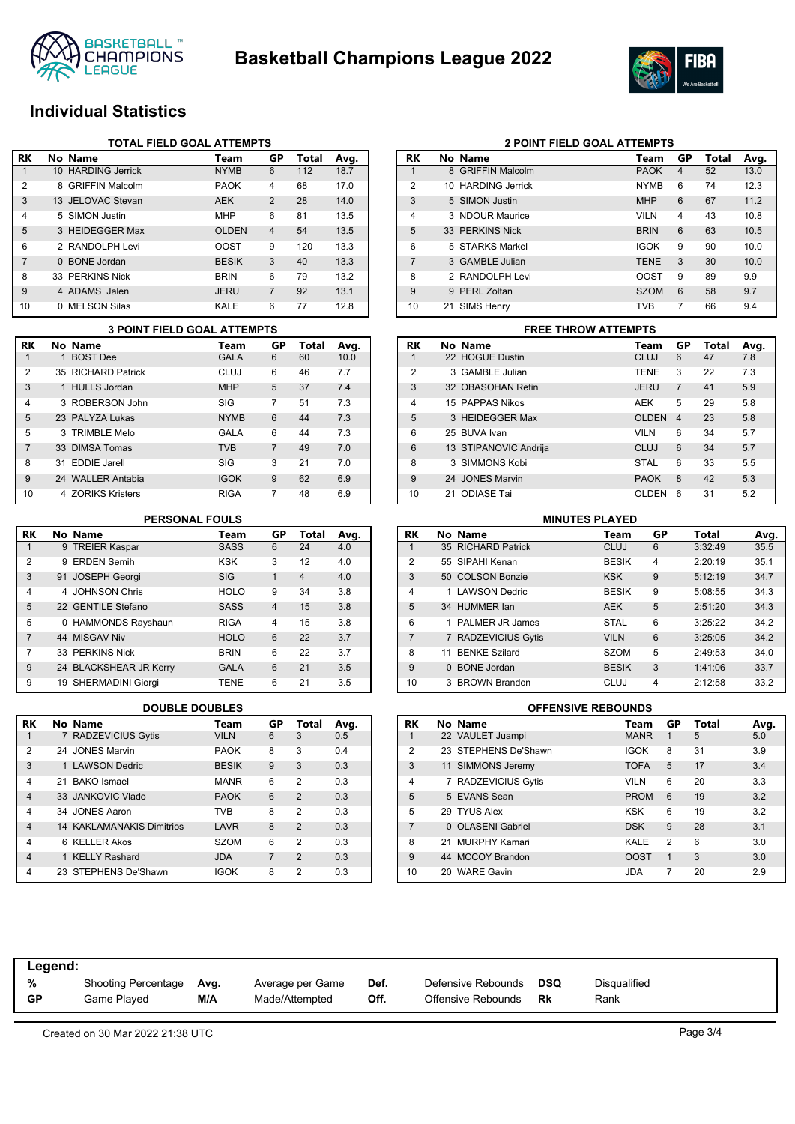



## **Individual Statistics**

|                | <b>TOTAL FIELD GOAL ATTEMPTS</b> |                        |              |                |       |      |  |  |  |
|----------------|----------------------------------|------------------------|--------------|----------------|-------|------|--|--|--|
| RK             |                                  | No Name                | Team         | GP             | Total | Avg. |  |  |  |
|                |                                  | 10 HARDING Jerrick     | <b>NYMB</b>  | 6              | 112   | 18.7 |  |  |  |
| 2              | 8                                | <b>GRIFFIN Malcolm</b> | <b>PAOK</b>  | 4              | 68    | 17.0 |  |  |  |
| 3              |                                  | 13 JELOVAC Stevan      | <b>AEK</b>   | 2              | 28    | 14.0 |  |  |  |
| 4              |                                  | 5 SIMON Justin         | <b>MHP</b>   | 6              | 81    | 13.5 |  |  |  |
| 5              |                                  | 3 HEIDEGGER Max        | <b>OLDEN</b> | $\overline{4}$ | 54    | 13.5 |  |  |  |
| 6              |                                  | 2 RANDOLPH Levi        | OOST         | 9              | 120   | 13.3 |  |  |  |
| $\overline{7}$ | $\Omega$                         | <b>BONE</b> Jordan     | <b>BESIK</b> | 3              | 40    | 13.3 |  |  |  |
| 8              |                                  | 33 PERKINS Nick        | <b>BRIN</b>  | 6              | 79    | 13.2 |  |  |  |
| 9              |                                  | 4 ADAMS Jalen          | <b>JERU</b>  | $\overline{7}$ | 92    | 13.1 |  |  |  |
| 10             | 0                                | <b>MELSON Silas</b>    | KALE         | 6              | 77    | 12.8 |  |  |  |

|                | <b>3 POINT FIELD GOAL ATTEMPTS</b> |             |                |       |      |           |                       | <b>FREE THROW ATTEMPTS</b> |
|----------------|------------------------------------|-------------|----------------|-------|------|-----------|-----------------------|----------------------------|
| <b>RK</b>      | No Name                            | Team        | GP             | Total | Avg. | <b>RK</b> | No Name               | Tea                        |
|                | <b>BOST Dee</b>                    | <b>GALA</b> | 6              | 60    | 10.0 |           | 22 HOGUE Dustin       | CLU                        |
| $\overline{2}$ | 35 RICHARD Patrick                 | CLUJ        | 6              | 46    | 7.7  | 2         | 3 GAMBLE Julian       | <b>TEN</b>                 |
| 3              | 1 HULLS Jordan                     | <b>MHP</b>  | 5              | 37    | 7.4  | 3         | 32 OBASOHAN Retin     | <b>JER</b>                 |
| 4              | 3 ROBERSON John                    | <b>SIG</b>  |                | 51    | 7.3  | 4         | 15 PAPPAS Nikos       | <b>AEK</b>                 |
| 5              | 23 PALYZA Lukas                    | <b>NYMB</b> | 6              | 44    | 7.3  | 5         | 3 HEIDEGGER Max       | <b>OLD</b>                 |
| 5              | 3 TRIMBLE Melo                     | <b>GALA</b> | 6              | 44    | 7.3  | 6         | 25 BUVA Ivan          | <b>VILN</b>                |
|                | 33 DIMSA Tomas                     | <b>TVB</b>  | $\overline{7}$ | 49    | 7.0  | 6         | 13 STIPANOVIC Andrija | <b>CLU</b>                 |
| 8              | 31 EDDIE Jarell                    | <b>SIG</b>  | 3              | 21    | 7.0  | 8         | 3 SIMMONS Kobi        | <b>STA</b>                 |
| 9              | 24 WALLER Antabia                  | <b>IGOK</b> | 9              | 62    | 6.9  | 9         | 24 JONES Marvin       | <b>PAO</b>                 |
| 10             | 4 ZORIKS Kristers                  | <b>RIGA</b> |                | 48    | 6.9  | 10        | 21 ODIASE Tai         | <b>OLD</b>                 |

#### **PERSONAL FOULS**

| RK            | No Name                | Team        | GP             | Total          | Avg. |
|---------------|------------------------|-------------|----------------|----------------|------|
| 1             | 9 TREIER Kaspar        | <b>SASS</b> | 6              | 24             | 4.0  |
| $\mathcal{P}$ | 9 ERDEN Semih          | <b>KSK</b>  | 3              | 12             | 4.0  |
| 3             | 91 JOSEPH Georgi       | <b>SIG</b>  | 1              | $\overline{4}$ | 4.0  |
| 4             | 4 JOHNSON Chris        | <b>HOLO</b> | 9              | 34             | 3.8  |
| 5             | 22 GENTILE Stefano     | <b>SASS</b> | $\overline{4}$ | 15             | 3.8  |
| 5             | 0 HAMMONDS Rayshaun    | <b>RIGA</b> | 4              | 15             | 3.8  |
| 7             | 44 MISGAV Niv          | <b>HOLO</b> | 6              | 22             | 3.7  |
| 7             | 33 PERKINS Nick        | <b>BRIN</b> | 6              | 22             | 3.7  |
| 9             | 24 BLACKSHEAR JR Kerry | <b>GALA</b> | 6              | 21             | 3.5  |
| 9             | 19 SHERMADINI Giorgi   | TENE        | 6              | 21             | 3.5  |

| RK             | No Name                          | Team         | GP | Total          | Avg. |
|----------------|----------------------------------|--------------|----|----------------|------|
| 1              | 7 RADZEVICIUS Gytis              | <b>VILN</b>  | 6  | 3              | 0.5  |
| 2              | 24 JONES Marvin                  | <b>PAOK</b>  | 8  | 3              | 0.4  |
| 3              | 1 LAWSON Dedric                  | <b>BESIK</b> | 9  | 3              | 0.3  |
| 4              | 21 BAKO Ismael                   | <b>MANR</b>  | 6  | 2              | 0.3  |
| $\overline{4}$ | 33 JANKOVIC Vlado                | <b>PAOK</b>  | 6  | $\mathcal{P}$  | 0.3  |
| 4              | 34 JONES Aaron                   | <b>TVR</b>   | 8  | 2              | 0.3  |
| $\overline{4}$ | <b>14 KAKLAMANAKIS Dimitrios</b> | LAVR         | 8  | $\mathfrak{p}$ | 0.3  |
| 4              | 6 KELLER Akos                    | <b>SZOM</b>  | 6  | 2              | 0.3  |
| $\overline{4}$ | 1 KELLY Rashard                  | <b>JDA</b>   | 7  | $\mathcal{P}$  | 0.3  |
| 4              | 23 STEPHENS De'Shawn             | <b>IGOK</b>  | 8  | 2              | 0.3  |

|    | <b>2 POINT FIELD GOAL ATTEMPTS</b> |                    |             |    |       |      |  |  |  |
|----|------------------------------------|--------------------|-------------|----|-------|------|--|--|--|
| RK |                                    | No Name            | Team        | GP | Total | Avg. |  |  |  |
| 1  |                                    | 8 GRIFFIN Malcolm  | <b>PAOK</b> | 4  | 52    | 13.0 |  |  |  |
| 2  |                                    | 10 HARDING Jerrick | <b>NYMB</b> | 6  | 74    | 12.3 |  |  |  |
| 3  |                                    | 5 SIMON Justin     | <b>MHP</b>  | 6  | 67    | 11.2 |  |  |  |
| 4  |                                    | 3 NDOUR Maurice    | <b>VILN</b> | 4  | 43    | 10.8 |  |  |  |
| 5  |                                    | 33 PERKINS Nick    | <b>BRIN</b> | 6  | 63    | 10.5 |  |  |  |
| 6  |                                    | 5 STARKS Markel    | <b>IGOK</b> | 9  | 90    | 10.0 |  |  |  |
| 7  |                                    | 3 GAMBLE Julian    | <b>TENE</b> | 3  | 30    | 10.0 |  |  |  |
| 8  |                                    | 2 RANDOLPH Levi    | <b>OOST</b> | 9  | 89    | 9.9  |  |  |  |
| 9  |                                    | 9 PERL Zoltan      | <b>SZOM</b> | 6  | 58    | 9.7  |  |  |  |
| 10 |                                    | 21 SIMS Henry      | <b>TVB</b>  | 7  | 66    | 9.4  |  |  |  |

|                         | <b>FREE THROW ATTEMPTS</b> |                       |              |                |       |      |  |  |  |  |
|-------------------------|----------------------------|-----------------------|--------------|----------------|-------|------|--|--|--|--|
| RK                      |                            | No Name               | Team         | GP             | Total | Avg. |  |  |  |  |
|                         |                            | 22 HOGUE Dustin       | <b>CLUJ</b>  | 6              | 47    | 7.8  |  |  |  |  |
| $\overline{2}$          |                            | 3 GAMBLE Julian       | <b>TENE</b>  | 3              | 22    | 7.3  |  |  |  |  |
| 3                       |                            | 32 OBASOHAN Retin     | <b>JERU</b>  | $\overline{7}$ | 41    | 5.9  |  |  |  |  |
| $\overline{\mathbf{A}}$ |                            | 15 PAPPAS Nikos       | <b>AEK</b>   | 5              | 29    | 5.8  |  |  |  |  |
| 5                       |                            | 3 HEIDEGGER Max       | <b>OLDEN</b> | 4              | 23    | 5.8  |  |  |  |  |
| 6                       |                            | 25 BUVA Ivan          | <b>VILN</b>  | 6              | 34    | 5.7  |  |  |  |  |
| 6                       |                            | 13 STIPANOVIC Andrija | CLUJ         | 6              | 34    | 5.7  |  |  |  |  |
| 8                       |                            | 3 SIMMONS Kobi        | <b>STAL</b>  | 6              | 33    | 5.5  |  |  |  |  |
| $\mathbf{Q}$            |                            | 24 JONES Marvin       | <b>PAOK</b>  | 8              | 42    | 5.3  |  |  |  |  |
| 10                      | 21                         | ODIASE Tai            | OLDEN        | 6              | 31    | 5.2  |  |  |  |  |

|                |          | <b>MINUTES PLAYED</b> |              |    |         |      |
|----------------|----------|-----------------------|--------------|----|---------|------|
| <b>RK</b>      |          | No Name               | Team         | GP | Total   | Avg. |
|                |          | 35 RICHARD Patrick    | <b>CLUJ</b>  | 6  | 3:32:49 | 35.5 |
| 2              |          | 55 SIPAHI Kenan       | <b>BESIK</b> | 4  | 2:20:19 | 35.1 |
| 3              |          | 50 COLSON Bonzie      | <b>KSK</b>   | 9  | 5:12:19 | 34.7 |
| 4              |          | 1 LAWSON Dedric       | <b>BESIK</b> | 9  | 5:08:55 | 34.3 |
| 5              |          | 34 HUMMER lan         | <b>AEK</b>   | 5  | 2:51:20 | 34.3 |
| 6              |          | PALMER JR James       | <b>STAL</b>  | 6  | 3:25:22 | 34.2 |
| $\overline{7}$ |          | 7 RADZEVICIUS Gytis   | <b>VILN</b>  | 6  | 3:25:05 | 34.2 |
| 8              | 11       | <b>BENKE Szilard</b>  | <b>SZOM</b>  | 5  | 2:49:53 | 34.0 |
| 9              | $\Omega$ | <b>BONE</b> Jordan    | <b>BESIK</b> | 3  | 1:41:06 | 33.7 |
| 10             | 3        | <b>BROWN Brandon</b>  | CLUJ         | 4  | 2:12:58 | 33.2 |

#### **DOUBLE DOUBLES OFFENSIVE REBOUNDS**

| RK             | No Name              | Team        | GP             | <b>Total</b> | Avg. |
|----------------|----------------------|-------------|----------------|--------------|------|
| 1              | 22 VAULET Juampi     | <b>MANR</b> | 1              | 5            | 5.0  |
| 2              | 23 STEPHENS De'Shawn | <b>IGOK</b> | 8              | 31           | 3.9  |
| 3              | 11 SIMMONS Jeremy    | <b>TOFA</b> | 5              | 17           | 3.4  |
| $\overline{4}$ | 7 RADZEVICIUS Gytis  | <b>VILN</b> | 6              | 20           | 3.3  |
| 5              | 5 EVANS Sean         | <b>PROM</b> | 6              | 19           | 3.2  |
| 5              | 29 TYUS Alex         | KSK         | 6              | 19           | 3.2  |
| 7              | 0 OLASENI Gabriel    | <b>DSK</b>  | 9              | 28           | 3.1  |
| 8              | 21 MURPHY Kamari     | KALE        | $\overline{2}$ | 6            | 3.0  |
| 9              | 44 MCCOY Brandon     | <b>OOST</b> | 1              | 3            | 3.0  |
| 10             | 20 WARE Gavin        | JDA         | 7              | 20           | 2.9  |

| %  | Shooting Percentage | Avg. | Average per Game | Def. | Defensive Rebounds | <b>DSQ</b> | Disqualified |
|----|---------------------|------|------------------|------|--------------------|------------|--------------|
| GP | Game Played         | M/A  | Made/Attempted   | Off. | Offensive Rebounds | Rk         | Rank         |